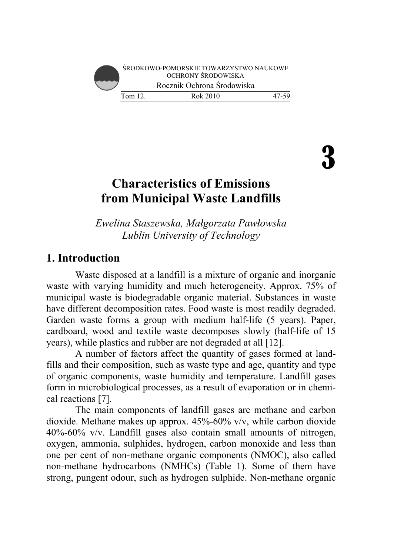

3

# **Characteristics of Emissions from Municipal Waste Landfills**

*Ewelina Staszewska, Małgorzata Pawłowska Lublin University of Technology* 

# **1. Introduction**

Waste disposed at a landfill is a mixture of organic and inorganic waste with varying humidity and much heterogeneity. Approx. 75% of municipal waste is biodegradable organic material. Substances in waste have different decomposition rates. Food waste is most readily degraded. Garden waste forms a group with medium half-life (5 years). Paper, cardboard, wood and textile waste decomposes slowly (half-life of 15 years), while plastics and rubber are not degraded at all [12].

A number of factors affect the quantity of gases formed at landfills and their composition, such as waste type and age, quantity and type of organic components, waste humidity and temperature. Landfill gases form in microbiological processes, as a result of evaporation or in chemical reactions [7].

The main components of landfill gases are methane and carbon dioxide. Methane makes up approx. 45%-60% v/v, while carbon dioxide 40%-60% v/v. Landfill gases also contain small amounts of nitrogen, oxygen, ammonia, sulphides, hydrogen, carbon monoxide and less than one per cent of non-methane organic components (NMOC), also called non-methane hydrocarbons (NMHCs) (Table 1). Some of them have strong, pungent odour, such as hydrogen sulphide. Non-methane organic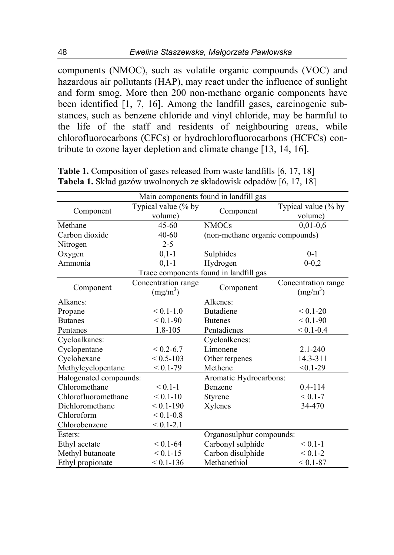components (NMOC), such as volatile organic compounds (VOC) and hazardous air pollutants (HAP), may react under the influence of sunlight and form smog. More then 200 non-methane organic components have been identified [1, 7, 16]. Among the landfill gases, carcinogenic substances, such as benzene chloride and vinyl chloride, may be harmful to the life of the staff and residents of neighbouring areas, while chlorofluorocarbons (CFCs) or hydrochlorofluorocarbons (HCFCs) contribute to ozone layer depletion and climate change [13, 14, 16].

| Main components found in landfill gas  |                      |                                 |                      |  |  |
|----------------------------------------|----------------------|---------------------------------|----------------------|--|--|
| Component                              | Typical value (% by  | Component                       | Typical value (% by  |  |  |
|                                        | volume)              |                                 | volume)              |  |  |
| Methane                                | $45 - 60$            | <b>NMOCs</b>                    | $0,01-0,6$           |  |  |
| Carbon dioxide                         | $40 - 60$            | (non-methane organic compounds) |                      |  |  |
| Nitrogen                               | $2 - 5$              |                                 |                      |  |  |
| Oxygen                                 | $0, 1 - 1$           | Sulphides                       | $0 - 1$              |  |  |
| Ammonia                                | $0, 1 - 1$           | Hydrogen                        | $0 - 0,2$            |  |  |
| Trace components found in landfill gas |                      |                                 |                      |  |  |
| Component                              | Concentration range  | Component                       | Concentration range  |  |  |
|                                        | (mg/m <sup>3</sup> ) |                                 | (mg/m <sup>3</sup> ) |  |  |
| Alkanes:                               |                      | Alkenes:                        |                      |  |  |
| Propane                                | $< 0.1 - 1.0$        | <b>Butadiene</b>                | $< 0.1 - 20$         |  |  |
| <b>Butanes</b>                         | $< 0.1 - 90$         | <b>Butenes</b>                  | $< 0.1 - 90$         |  |  |
| Pentanes                               | 1.8-105              | Pentadienes                     | $< 0.1 - 0.4$        |  |  |
| Cycloalkanes:                          |                      | Cycloalkenes:                   |                      |  |  |
| Cyclopentane                           | $< 0.2 - 6.7$        | Limonene                        | $2.1 - 240$          |  |  |
| Cyclohexane                            | $< 0.5 - 103$        | Other terpenes                  | 14.3-311             |  |  |
| Methylcyclopentane                     | $< 0.1 - 79$         | Methene                         | $< 0.1 - 29$         |  |  |
| Halogenated compounds:                 |                      | Aromatic Hydrocarbons:          |                      |  |  |
| Chloromethane                          | $< 0.1 - 1$          | Benzene                         | $0.4 - 114$          |  |  |
| Chlorofluoromethane                    | $< 0.1 - 10$         | Styrene                         | $< 0.1 - 7$          |  |  |
| Dichloromethane                        | $< 0.1 - 190$        | Xylenes                         | 34-470               |  |  |
| Chloroform                             | $< 0.1 - 0.8$        |                                 |                      |  |  |
| Chlorobenzene                          | $< 0.1 - 2.1$        |                                 |                      |  |  |
| Esters:                                |                      | Organosulphur compounds:        |                      |  |  |
| Ethyl acetate                          | $< 0.1 - 64$         | Carbonyl sulphide               | $< 0.1 - 1$          |  |  |
| Methyl butanoate                       | $< 0.1 - 15$         | Carbon disulphide               | $< 0.1 - 2$          |  |  |
| Ethyl propionate                       | $< 0.1 - 136$        | Methanethiol                    | $< 0.1 - 87$         |  |  |

**Table 1.** Composition of gases released from waste landfills [6, 17, 18] **Tabela 1.** Skład gazów uwolnonych ze składowisk odpadów [6, 17, 18]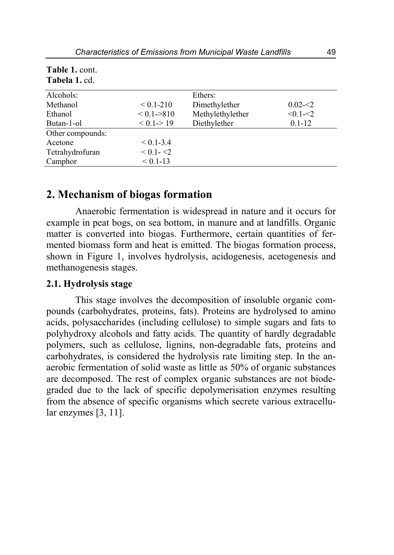| Tabela 1. cd.    |               |                  |             |
|------------------|---------------|------------------|-------------|
| Alcohols:        |               | Ethers:          |             |
| Methanol         | $< 0.1 - 210$ | Dimethylether    | $0.02 - 2$  |
| Ethanol          | < 0.1 > 810   | Methylethylether | $< 0.1 - 2$ |
| Butan-1-ol       | < 0.1 > 19    | Diethylether     | $0.1 - 12$  |
| Other compounds: |               |                  |             |
| Acetone          | $< 0.1 - 3.4$ |                  |             |
| Tetrahydrofuran  | $< 0.1 - 22$  |                  |             |
| Camphor          | $< 0.1 - 13$  |                  |             |

# **Table 1.** cont.

# **2. Mechanism of biogas formation**

Anaerobic fermentation is widespread in nature and it occurs for example in peat bogs, on sea bottom, in manure and at landfills. Organic matter is converted into biogas. Furthermore, certain quantities of fermented biomass form and heat is emitted. The biogas formation process, shown in Figure 1, involves hydrolysis, acidogenesis, acetogenesis and methanogenesis stages.

#### **2.1. Hydrolysis stage**

This stage involves the decomposition of insoluble organic compounds (carbohydrates, proteins, fats). Proteins are hydrolysed to amino acids, polysaccharides (including cellulose) to simple sugars and fats to polyhydroxy alcohols and fatty acids. The quantity of hardly degradable polymers, such as cellulose, lignins, non-degradable fats, proteins and carbohydrates, is considered the hydrolysis rate limiting step. In the anaerobic fermentation of solid waste as little as 50% of organic substances are decomposed. The rest of complex organic substances are not biodegraded due to the lack of specific depolymerisation enzymes resulting from the absence of specific organisms which secrete various extracellular enzymes [3, 11].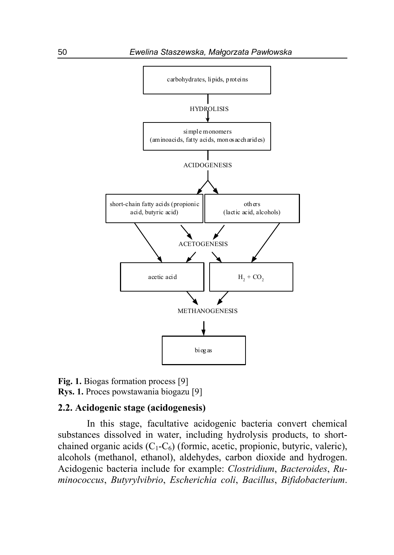

**Fig. 1.** Biogas formation process [9] **Rys. 1.** Proces powstawania biogazu [9]

#### **2.2. Acidogenic stage (acidogenesis)**

In this stage, facultative acidogenic bacteria convert chemical substances dissolved in water, including hydrolysis products, to shortchained organic acids  $(C_1-C_6)$  (formic, acetic, propionic, butyric, valeric), alcohols (methanol, ethanol), aldehydes, carbon dioxide and hydrogen. Acidogenic bacteria include for example: *Clostridium*, *Bacteroides*, *Ruminococcus*, *Butyrylvibrio*, *Escherichia coli*, *Bacillus*, *Bifidobacterium*.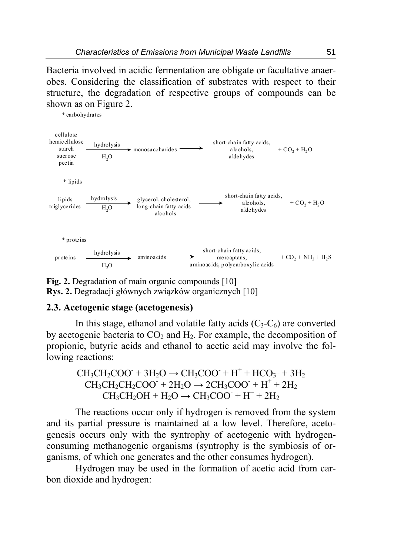Bacteria involved in acidic fermentation are obligate or facultative anaerobes. Considering the classification of substrates with respect to their structure, the degradation of respective groups of compounds can be shown as on Figure 2.



**Fig. 2.** Degradation of main organic compounds [10] **Rys. 2.** Degradacji głównych związków organicznych [10]

### **2.3. Acetogenic stage (acetogenesis)**

In this stage, ethanol and volatile fatty acids  $(C_3-C_6)$  are converted by acetogenic bacteria to  $CO<sub>2</sub>$  and  $H<sub>2</sub>$ . For example, the decomposition of propionic, butyric acids and ethanol to acetic acid may involve the following reactions:

> $CH_3CH_2COO + 3H_2O \rightarrow CH_3COO + H^+ + HCO_3 - + 3H_2$  $CH_3CH_2CH_2COO^+ + 2H_2O \rightarrow 2CH_3COO^+ + H^+ + 2H_2$  $CH_3CH_2OH + H_2O \rightarrow CH_3COO^- + H^+ + 2H_2$

The reactions occur only if hydrogen is removed from the system and its partial pressure is maintained at a low level. Therefore, acetogenesis occurs only with the syntrophy of acetogenic with hydrogenconsuming methanogenic organisms (syntrophy is the symbiosis of organisms, of which one generates and the other consumes hydrogen).

Hydrogen may be used in the formation of acetic acid from carbon dioxide and hydrogen: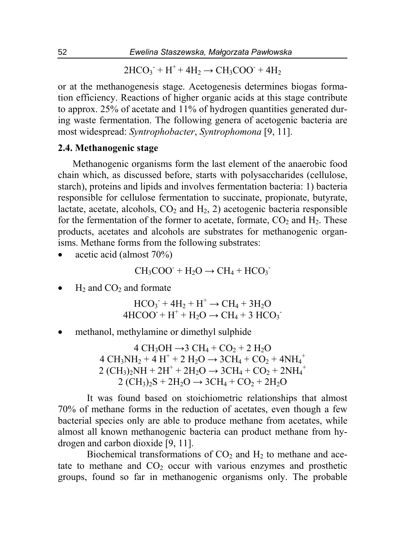$2HCO_3$ <sup>+</sup> H<sup>+</sup> + 4H<sub>2</sub> → CH<sub>3</sub>COO<sup>+</sup> + 4H<sub>2</sub>

or at the methanogenesis stage. Acetogenesis determines biogas formation efficiency. Reactions of higher organic acids at this stage contribute to approx. 25% of acetate and 11% of hydrogen quantities generated during waste fermentation. The following genera of acetogenic bacteria are most widespread: *Syntrophobacter*, *Syntrophomona* [9, 11].

#### **2.4. Methanogenic stage**

Methanogenic organisms form the last element of the anaerobic food chain which, as discussed before, starts with polysaccharides (cellulose, starch), proteins and lipids and involves fermentation bacteria: 1) bacteria responsible for cellulose fermentation to succinate, propionate, butyrate, lactate, acetate, alcohols,  $CO<sub>2</sub>$  and  $H<sub>2</sub>$ , 2) acetogenic bacteria responsible for the fermentation of the former to acetate, formate,  $CO<sub>2</sub>$  and  $H<sub>2</sub>$ . These products, acetates and alcohols are substrates for methanogenic organisms. Methane forms from the following substrates:

acetic acid (almost 70%)

$$
CH_3COO^+ + H_2O \rightarrow CH_4 + HCO_3^-
$$

 $H<sub>2</sub>$  and CO<sub>2</sub> and formate

 $HCO_3^- + 4H_2 + H^+ \rightarrow CH_4 + 3H_2O$  $4HCOO + H^+ + H_2O \rightarrow CH_4 + 3 HCO_3$ 

methanol, methylamine or dimethyl sulphide

4 CH<sub>3</sub>OH →3 CH<sub>4</sub> + CO<sub>2</sub> + 2 H<sub>2</sub>O  $4 \text{ CH}_3\text{NH}_2 + 4 \text{ H}^+ + 2 \text{ H}_2\text{O} \rightarrow 3\text{CH}_4 + \text{CO}_2 + 4\text{NH}_4^+$  $2 (CH_3)_2NH + 2H^+ + 2H_2O \rightarrow 3CH_4 + CO_2 + 2NH_4^+$  $2 (CH_3)_2S + 2H_2O \rightarrow 3CH_4 + CO_2 + 2H_2O$ 

It was found based on stoichiometric relationships that almost 70% of methane forms in the reduction of acetates, even though a few bacterial species only are able to produce methane from acetates, while almost all known methanogenic bacteria can product methane from hydrogen and carbon dioxide [9, 11].

Biochemical transformations of  $CO<sub>2</sub>$  and  $H<sub>2</sub>$  to methane and acetate to methane and  $CO<sub>2</sub>$  occur with various enzymes and prosthetic groups, found so far in methanogenic organisms only. The probable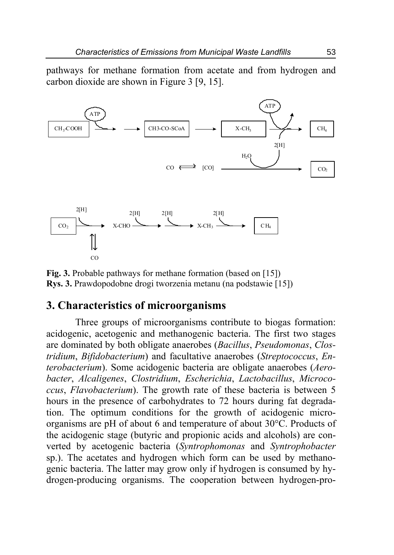pathways for methane formation from acetate and from hydrogen and carbon dioxide are shown in Figure 3 [9, 15].



**Fig. 3.** Probable pathways for methane formation (based on [15]) **Rys. 3.** Prawdopodobne drogi tworzenia metanu (na podstawie [15])

## **3. Characteristics of microorganisms**

Three groups of microorganisms contribute to biogas formation: acidogenic, acetogenic and methanogenic bacteria. The first two stages are dominated by both obligate anaerobes (*Bacillus*, *Pseudomonas*, *Clostridium*, *Bifidobacterium*) and facultative anaerobes (*Streptococcus*, *Enterobacterium*). Some acidogenic bacteria are obligate anaerobes (*Aerobacter*, *Alcaligenes*, *Clostridium*, *Escherichia*, *Lactobacillus*, *Micrococcus*, *Flavobacterium*). The growth rate of these bacteria is between 5 hours in the presence of carbohydrates to 72 hours during fat degradation. The optimum conditions for the growth of acidogenic microorganisms are pH of about 6 and temperature of about 30°C. Products of the acidogenic stage (butyric and propionic acids and alcohols) are converted by acetogenic bacteria (*Syntrophomonas* and *Syntrophobacter*  sp.). The acetates and hydrogen which form can be used by methanogenic bacteria. The latter may grow only if hydrogen is consumed by hydrogen-producing organisms. The cooperation between hydrogen-pro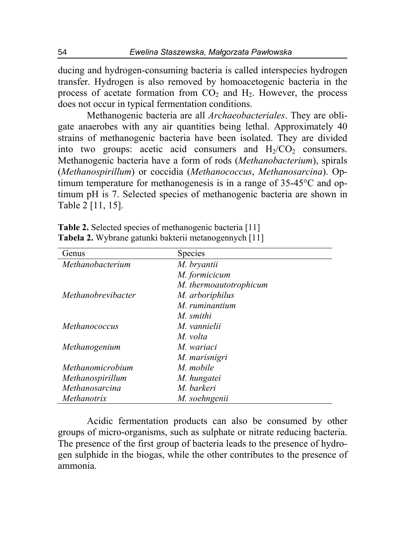ducing and hydrogen-consuming bacteria is called interspecies hydrogen transfer. Hydrogen is also removed by homoacetogenic bacteria in the process of acetate formation from  $CO<sub>2</sub>$  and  $H<sub>2</sub>$ . However, the process does not occur in typical fermentation conditions.

Methanogenic bacteria are all *Archaeobacteriales*. They are obligate anaerobes with any air quantities being lethal. Approximately 40 strains of methanogenic bacteria have been isolated. They are divided into two groups: acetic acid consumers and  $H<sub>2</sub>/CO<sub>2</sub>$  consumers. Methanogenic bacteria have a form of rods (*Methanobacterium*), spirals (*Methanospirillum*) or coccidia (*Methanococcus*, *Methanosarcina*). Optimum temperature for methanogenesis is in a range of 35-45°C and optimum pH is 7. Selected species of methanogenic bacteria are shown in Table 2 [11, 15].

| Genus                | <b>Species</b>         |
|----------------------|------------------------|
| Methanobacterium     | M. bryantii            |
|                      | M. formicicum          |
|                      | M. thermoautotrophicum |
| Methanobrevibacter   | M. arboriphilus        |
|                      | M. ruminantium         |
|                      | M. smithi              |
| <i>Methanococcus</i> | M vannielii            |
|                      | M. volta               |
| Methanogenium        | M. wariaci             |
|                      | M. marisnigri          |
| Methanomicrobium     | M. mobile              |
| Methanospirillum     | M. hungatei            |
| Methanosarcina       | M. barkeri             |
| Methanotrix          | M. soehngenii          |

**Table 2.** Selected species of methanogenic bacteria [11] **Tabela 2.** Wybrane gatunki bakterii metanogennych [11]

Acidic fermentation products can also be consumed by other groups of micro-organisms, such as sulphate or nitrate reducing bacteria. The presence of the first group of bacteria leads to the presence of hydrogen sulphide in the biogas, while the other contributes to the presence of ammonia.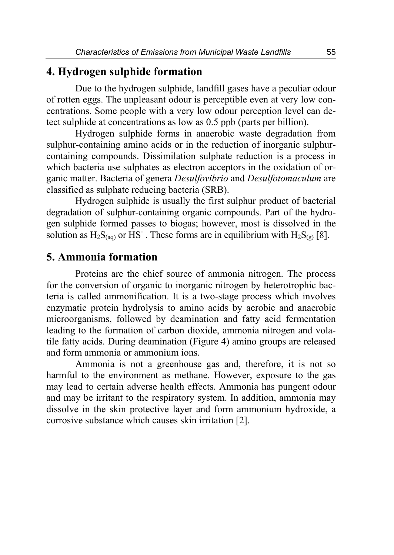# **4. Hydrogen sulphide formation**

Due to the hydrogen sulphide, landfill gases have a peculiar odour of rotten eggs. The unpleasant odour is perceptible even at very low concentrations. Some people with a very low odour perception level can detect sulphide at concentrations as low as 0.5 ppb (parts per billion).

Hydrogen sulphide forms in anaerobic waste degradation from sulphur-containing amino acids or in the reduction of inorganic sulphurcontaining compounds. Dissimilation sulphate reduction is a process in which bacteria use sulphates as electron acceptors in the oxidation of organic matter. Bacteria of genera *Desulfovibrio* and *Desulfotomaculum* are classified as sulphate reducing bacteria (SRB).

Hydrogen sulphide is usually the first sulphur product of bacterial degradation of sulphur-containing organic compounds. Part of the hydrogen sulphide formed passes to biogas; however, most is dissolved in the solution as  $H_2S_{(aq)}$  or HS<sup>-</sup>. These forms are in equilibrium with  $H_2S_{(g)}$  [8].

## **5. Ammonia formation**

Proteins are the chief source of ammonia nitrogen. The process for the conversion of organic to inorganic nitrogen by heterotrophic bacteria is called ammonification. It is a two-stage process which involves enzymatic protein hydrolysis to amino acids by aerobic and anaerobic microorganisms, followed by deamination and fatty acid fermentation leading to the formation of carbon dioxide, ammonia nitrogen and volatile fatty acids. During deamination (Figure 4) amino groups are released and form ammonia or ammonium ions.

Ammonia is not a greenhouse gas and, therefore, it is not so harmful to the environment as methane. However, exposure to the gas may lead to certain adverse health effects. Ammonia has pungent odour and may be irritant to the respiratory system. In addition, ammonia may dissolve in the skin protective layer and form ammonium hydroxide, a corrosive substance which causes skin irritation [2].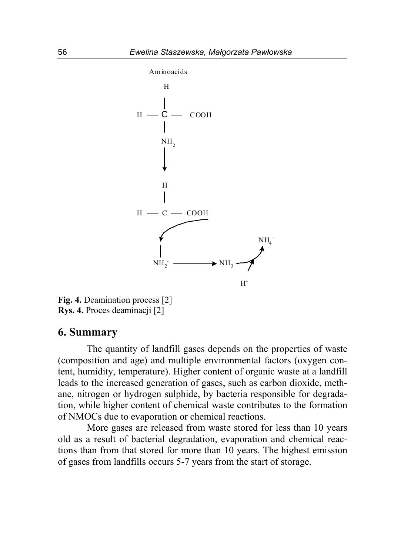

**Fig. 4.** Deamination process [2] **Rys. 4.** Proces deaminacji [2]

## **6. Summary**

The quantity of landfill gases depends on the properties of waste (composition and age) and multiple environmental factors (oxygen content, humidity, temperature). Higher content of organic waste at a landfill leads to the increased generation of gases, such as carbon dioxide, methane, nitrogen or hydrogen sulphide, by bacteria responsible for degradation, while higher content of chemical waste contributes to the formation of NMOCs due to evaporation or chemical reactions.

More gases are released from waste stored for less than 10 years old as a result of bacterial degradation, evaporation and chemical reactions than from that stored for more than 10 years. The highest emission of gases from landfills occurs 5-7 years from the start of storage.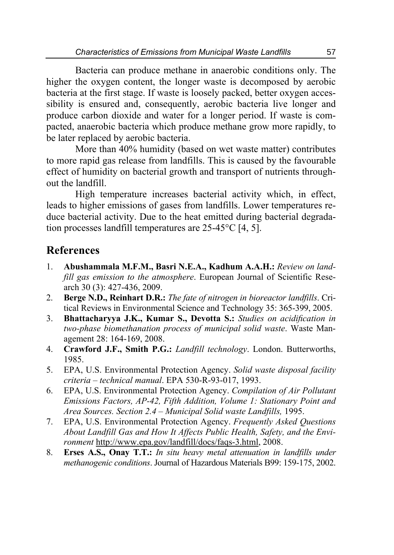Bacteria can produce methane in anaerobic conditions only. The higher the oxygen content, the longer waste is decomposed by aerobic bacteria at the first stage. If waste is loosely packed, better oxygen accessibility is ensured and, consequently, aerobic bacteria live longer and produce carbon dioxide and water for a longer period. If waste is compacted, anaerobic bacteria which produce methane grow more rapidly, to be later replaced by aerobic bacteria.

More than 40% humidity (based on wet waste matter) contributes to more rapid gas release from landfills. This is caused by the favourable effect of humidity on bacterial growth and transport of nutrients throughout the landfill.

High temperature increases bacterial activity which, in effect, leads to higher emissions of gases from landfills. Lower temperatures reduce bacterial activity. Due to the heat emitted during bacterial degradation processes landfill temperatures are 25-45°C [4, 5].

# **References**

- 1. **Abushammala M.F.M., Basri N.E.A., Kadhum A.A.H.:** *Review on landfill gas emission to the atmosphere*. European Journal of Scientific Research 30 (3): 427-436, 2009.
- 2. **Berge N.D., Reinhart D.R.:** *The fate of nitrogen in bioreactor landfills*. Critical Reviews in Environmental Science and Technology 35: 365-399, 2005.
- 3. **Bhattacharyya J.K., Kumar S., Devotta S.:** *Studies on acidification in two-phase biomethanation process of municipal solid waste*. Waste Management 28: 164-169, 2008.
- 4. **Crawford J.F., Smith P.G.:** *Landfill technology*. London. Butterworths, 1985.
- 5. EPA, U.S. Environmental Protection Agency. *Solid waste disposal facility criteria – technical manual*. EPA 530-R-93-017, 1993.
- 6. EPA, U.S. Environmental Protection Agency. *Compilation of Air Pollutant Emissions Factors, AP-42, Fifth Addition, Volume 1: Stationary Point and Area Sources. Section 2.4 – Municipal Solid waste Landfills,* 1995.
- 7. EPA, U.S. Environmental Protection Agency. *Frequently Asked Questions About Landfill Gas and How It Affects Public Health, Safety, and the Environment* http://www.epa.gov/landfill/docs/faqs-3.html, 2008.
- 8. **Erses A.S., Onay T.T.:** *In situ heavy metal attenuation in landfills under methanogenic conditions*. Journal of Hazardous Materials B99: 159-175, 2002.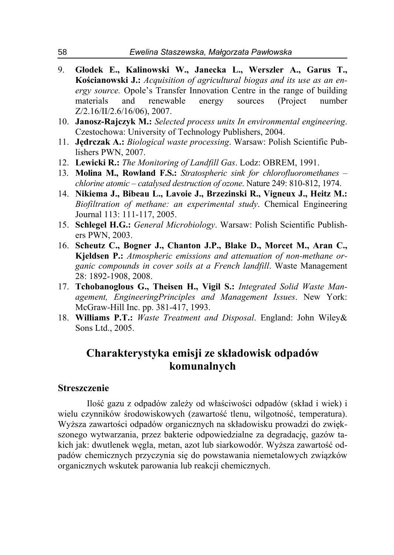- 9. **Głodek E., Kalinowski W., Janecka L., Werszler A., Garus T., Kościanowski J.:** *Acquisition of agricultural biogas and its use as an energy source.* Opole's Transfer Innovation Centre in the range of building materials and renewable energy sources (Project number Z/2.16/II/2.6/16/06), 2007.
- 10. **Janosz-Rajczyk M.:** *Selected process units In environmental engineering*. Czestochowa: University of Technology Publishers, 2004.
- 11. **Jędrczak A.:** *Biological waste processing*. Warsaw: Polish Scientific Publishers PWN, 2007.
- 12. **Lewicki R.:** *The Monitoring of Landfill Gas*. Lodz: OBREM, 1991.
- 13. **Molina M., Rowland F.S.:** *Stratospheric sink for chlorofluoromethanes chlorine atomic – catalysed destruction of ozone*. Nature 249: 810-812, 1974.
- 14. **Nikiema J., Bibeau L., Lavoie J., Brzezinski R., Vigneux J., Heitz M.:** *Biofiltration of methane: an experimental study*. Chemical Engineering Journal 113: 111-117, 2005.
- 15. **Schlegel H.G.:** *General Microbiology*. Warsaw: Polish Scientific Publishers PWN, 2003.
- 16. **Scheutz C., Bogner J., Chanton J.P., Blake D., Morcet M., Aran C., Kjeldsen P.:** *Atmospheric emissions and attenuation of non-methane organic compounds in cover soils at a French landfill*. Waste Management 28: 1892-1908, 2008.
- 17. **Tchobanoglous G., Theisen H., Vigil S.:** *Integrated Solid Waste Management, EngineeringPrinciples and Management Issues*. New York: McGraw-Hill Inc. pp. 381-417, 1993.
- 18. **Williams P.T.:** *Waste Treatment and Disposal*. England: John Wiley& Sons Ltd., 2005.

# **Charakterystyka emisji ze składowisk odpadów komunalnych**

#### **Streszczenie**

Ilość gazu z odpadów zależy od właściwości odpadów (skład i wiek) i wielu czynników środowiskowych (zawartość tlenu, wilgotność, temperatura). Wyższa zawartości odpadów organicznych na składowisku prowadzi do zwiększonego wytwarzania, przez bakterie odpowiedzialne za degradację, gazów takich jak: dwutlenek węgla, metan, azot lub siarkowodór. Wyższa zawartość odpadów chemicznych przyczynia się do powstawania niemetalowych związków organicznych wskutek parowania lub reakcji chemicznych.